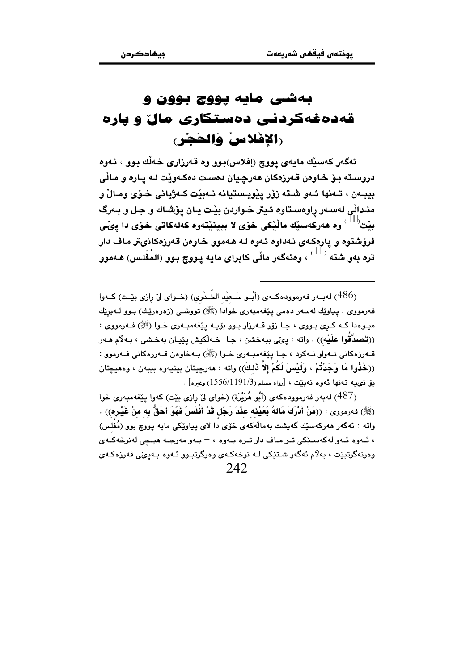## بهشی مایه پووچ بوون و قهدهغهکردنبی دهستکاری مال و یاره رالإفلاسُ وَالحَجْرِ،

ئەگەر كەسىيك مايەي يووچ (إفلاس)بوو وە قەرزارى خەلك بوو ، ئەوە دروسته بـوّ خـاوەن قـەرزەكان ھەرچيان دەست دەكـەوێت لـه يـارە و مـالّى بيبەن ، تەنھا ئەو شتە زۆر يۆويستيانە نەيٽت كەژبانى خىۆي ومالْ و منـدالّي لهسـهر راوهسـتاوه ئـيتر خـواردن بيّت يـان يۆشـاك و جـل و بـهرگ بيْت<sup>(>>>)</sup> وه هەركەسيْك ماڵيْكى خۆى لا ببينيْتەوه كەلەكاتى خۆى دا پىْي .<br>فرؤشتوه و پارهکهی نهداوه ئهوه له ههموو خاوهن قهرزهکانیتر ماف دار .<br>تره مهو شته <sup>(>>>)</sup> ، وهئهگەر ماڵی کابرای مایه پـووچ بـوو (المُفْلـس) هـهموو

(486) له به رفه رمووده که ی (أبُو سَعِيْد الخُدْری) (خوای ليّ رازی بِيّت) کهوا فەرمووى : بياوێك لەسەر دەمى يێغەمبەرى خوادا (ﷺ) تووشى (زەرەرێك) بىور لـﻪبرێك ميـوهدا كـه كـرى بـووى ، جـا زۆر قــهرزار بـوو بۆيــه يـێغهمبــهرى خـوا (ﷺ) فــهومووى : ((تَصَدَّقُوا عَلَيْه)) ، واته : ييْي ببهخشن ، جـا ۖ خـه لْكيش يێيـان بهخـشي ، بـه لْام هـهر قـهرزهکاني تـهواو نـهکرد ، جـا بێغهمبـهري خـوا (ﷺ) بـهخاوهن قـهرزهکاني فـهرموو : ((خُذُوا مَا وَحَدْتُمْ ، وَلَسْنَ لَكُمْ إِلاَّ ذَلِكَ)) واته : هەرجِيتان بِينيەوه بِيبەن ، وههيچتان مَوْ ذِي بِهِ تَوْنِهَا ئَهُوهِ نَهْبَثَتْ ، [رواه مسلم(1556/1191/3) وغيره] .

(487) لهبهر فهرموودهكهي (أَبُو هُرَيْرَة) (خواي ليّ رازي بيّت) كهوا بيّغهمبهري خوا (ﷺ) فەرمورى : ((مَنْ أَدْرَكَ مَالَهُ بَعَيْنَه عَنْدَ رَجُل قَدْ أَفْلَسَ فَهُوَ أَحَقُّ بِه منْ غَيْرِهِ)) . واته : ئەگەر مەركەسىيك گەيشت پەمالەكەي خۆي دا لاي پياوتكى مايە پووچ بوو (مُفْلِس) ، ئــووه ئــوو لوكوسـڏِكي تـر مـاف دار تـره بــووه ، = بـوو مورجــو هيـجي لونرخوكــوي وورنەگرتىتت ، بەلام ئەگەر شتتكى لـە نرخەكـەي وەرگرتىبوو ئـەوە بـەيىمى قەرزەكـەي  $242$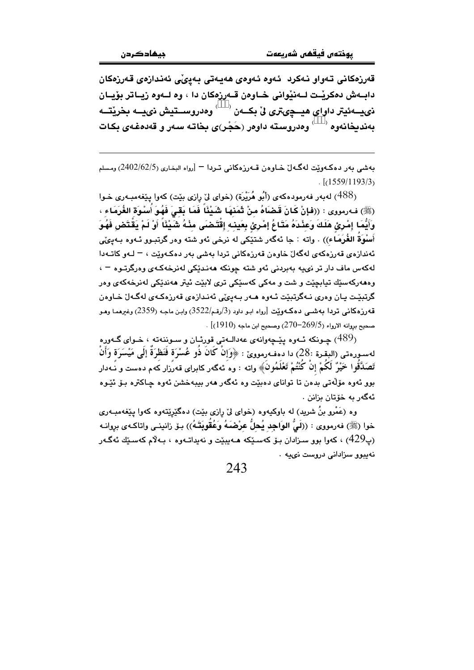قەرزەكانى تەواو نەكرد ئەوە ئەوەي ھەيەتى بەيئى ئەندازەي قەرزەكان دابــهش دهكريْــت لــهنيْواني خــاوهن قــهرزهكان دا ، وه لــهوه زيــاتر بۆيــان ذي سه ئيتر داواي هيــجيتري ليّ بکــهن <sup>(>>>)</sup> وهدروســتيش ذييــه بخريتــه بەندىخانەوە <sup>(>>>)</sup> وەدروستە داوەر (حَجْر)ى بخاتـه سـەر و قەدەغـ*ەي* بكـات

بەشى بەر دەكـەوپّت لەگـەلْ خـاوەن قـەرزەكانى تـردا ¬ [رواه البخـارى (2402/62/5) ومسلم  $\lceil (1559/1193/3) \rceil$ 

(488) لهبهر فهرمودهكهي (أَبُو هُرَيْرَة) (خواي ليّ رازي بيّت) كهوا ييّغهمبـهري خـوا (ﷺ) فـه(رمووى : ((فإنْ كَانَ قَـضَاهُ منْ ثَمَنهَا شَيْئًا فَمَا بَقَىَ فَهُوَ اَسْوَةَ الغُرَمَاء ، وَأَيُّمَا إِمْرِئَ هَلَكَ وَعَنْدَهُ مَتَاعُ إِمْرِئَ بِعَينه إِقْتَضَى مِنْهُ شَيْئًا أَوْ لَمْ يَقْتَض فَهُوَ أَسْوَةِ الغُرَمَاء)) . واته : جا ئەگەر شتێکی له نرخی ئەو شتە وەر گرتبـوو ئـەوە بـەيىٌي ئەندازەي قەرزەكەي لەگەلٌ خاوەن قەرزەكانى تردا بەشى بەر دەكـەوێت ، – لـەو كاتـەدا لەكەس ماف دار تر نىيە پەيردنى ئەر شتە چونكە ھەنىدى*كى* لەنرخەكب*ى* ۋەرگرتىۋە <sup>ب</sup> وههەركەسێك تيابچێت و شت و مەكى كەسێكى ترى لابێت ئيتر ھەندێكى لەنرخەكەي وەر گرتبيّـت بـان وەرى نـﻪگرتبيّت ئـﻪوە ھـﻪر بـﻪييمٽي ئەنـدازەي قەرزەكـﻪي لەگـﻪلْ خـﺎوەن قەرزەكانى تردا بەشىي دەكـەوێت [رواه ابـو داود (3/رقـم/3522) وابـن ماجـه (2359) وغيرهمـا وهـو . صحيح بروانه الارواء (269/5–270) وصحيح ابن ماجه (1910)]

جونکه ئــهوه پێـڃهوانهي عهدالــهتي قورئــان و ســوننهته ، خــواي گــهوره $\left(489\right)$ لهسورهتي (البقرة :28) دا دهفهرموويِّ : ﴿وَإِنْ كَانَ ذُو عُسْرَة فَنَظْرَةٌ إِلَى مَيْسَرَة وَأَنْ تَصَدَّقُوا حَيْرٌ لَكُمْ إنْ كُنْتُمْ تَعْلَمُونَ﴾ واته : وه نهگهر كابراى قهرزار كهم دهست و نـهدار .<br>بوو ئەوە مۆلەتى بدەن تا تواناي دەبێت وە ئەگەر ھەر بيبەخشن ئەوە چاكترە بىۆ ئێـوە ئەگەر يە خۆتان بزانن .

وه (عَمْرو بنُ شرید) له باوکیهوه (خوای لیّ رازی بێت) دهگێرێتهوه کهوا یێغهمبـهری خوا (ﷺ) فەرمووى : ((لَيُّ الوَاجِد يُحلُّ عرْضَبَهُ وَعُقُوبَتَـهُ)) بِـقِ زانينـي واتاكـهى بروانـه (پ429) ، کەو! يور سىزادان يۆ كەسىڭكە ھـەبىئت و نەپداتـەوە ، پـەلام كەسىئك ئەگـەر تەبىرو سزاداتى دروست نىيە .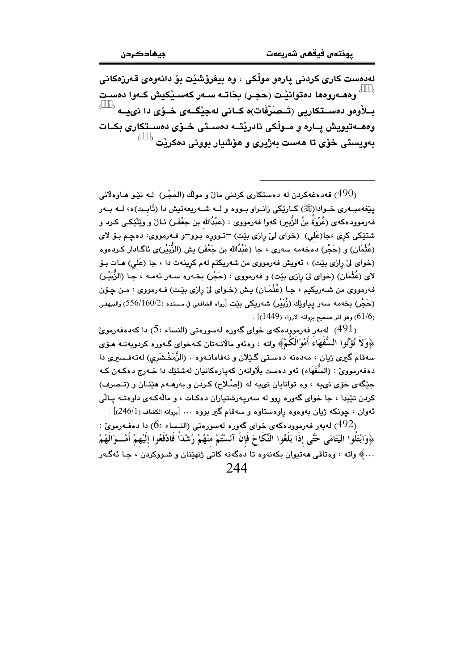لەدەست كارى كردنى يارەو مولْكى ، وە بېغرۆشٽت بۆ دانەوەي قەرزەكانى بــلأوهو دهســتكاريي (تَــصَرَّفَات)ه كــاني لهجِيْگــهى حْــوْي دا ذييـــه <sup>(>>>)</sup> وهصهتيويش يــاره و مــولْكي نادريْتــه دهسـتي خــۆي دهسـتكاري بكــات بەويستى خۆى تا ھەست بەژيرى و ھۆشيار بوونى دەكري<sup>ّت (>>>)</sup>

قەدەغەكردن لە دەستكارى كردنى مال و مولك (الحَجْر) لـه نێـو هـاوەلانى (490 $\,$ پێغهمبــهري خــوادا(ﷺ) كــارێِكي زانــراو بــووه و لـــه شــهريعهتيش دا (ثَابـت)ه، لــه بــهر فهرموودهكهي (عُرْوَة بنُ الزَّيبر) كهوا فهرمووي : (عَبْدُالله بن جَعْفَر) ئـالٌ و ويَلْيُكي كـرد و شتٽکي کري ،جا(عَلي) (خواي ليّ رازي بيٽ) –تـووره بـوو–و فـهرمووي: دهچـم بـوّ لاي (عُثْمَان) و (حَجْر) دەخەمە سەرى ، جا (عَبْدُالله بن جَعْفَر) يش (الزُّبَيْر)ى ئاگـادار كـردەوە (خوای لیّ رازی بیّت) ، ئەویش فەرمووی من شەریکتم لەم کرینەت دا ، جا (عَلی) هـات بـوّ لاى (عُثْمَان) (خواى ليّ رازى بيّت) و فەرمووى : (حَجْر) بِخـهره سـهر ئـهمـه ، جـا (الزُّبَيْـر) فهرمووي من شـهريكيم ، جـا (عُثْمَـان) يـش (خـواي ليّ رازي بيّـت) فـهرمووي : مـن چـۆن (حَجْر) بِخەمە سەر يياوێك (زُبَيْر) شەریكى بێت [رواه الشافعى في مسنده (556/160/2) والبيهقى . (61/6) وهو اثر صحيح بروانه الارواء (1449)] .

لەبەر فەرموۋدەكەي خواي گەورە لەسۈرەتى (النساء :5) دا كەدەفەرموئ  $(5\colon,$ ﴿وَلَا تُؤْتُوا السُّفْهَاءِ أَمْوَالُكُمْ﴾ وإنه : وهنهو مالانبهتان كـهخواي گـهوره كربويـهتـه هـؤي سەقام گىرى ژيان ، مەدەنە دەستى گَيْلان و نەڧامانـەوە . (الزَّمَخْشَرى) لەتەڧسىرى دا دهفهرموويّ : (السُّفَهَاء) ئەو دەست بِلاوانەن كەپارەكانيان لەشتێك دا خـەرج دەكـەن كـە جنگهي خوّي ني په ، وه توانايان ني په له (إصلاح) كردن و بهرهـهم هێنـان و (تـصرف) کردن تێیدا ، جا خوای گەورە روو لە سەرپەرشتیاران دەکات ، و مالّەکـەی داوەتــە پـالّى ئەوان ، چونكە ژىيان بەوەوە رِاوەستاوە و سەقام گیر بووە … [بروانە الكشاف (246/1)] .

: نوموړه که ده کوي خوای گوړه لهسوړونې (النساء) ( $6$ ) دا دهفه رموي $(492)$ ﴿وَابْتَلُوا اليَتَامَى حَتَّى إذَا بَلَغُوا النِّكَاحَ فَإِنْ آنَسْتُمْ منْهُمْ رُشْدَاً فَادْفَعُوا إلَيْهمْ أمْــوَالَهُمْ ...﴾ واته : وەتاقى ھەتپوان بكەنەوە تا دەگەنە كاتى ژنھێنان و شىووكردن ، جا ئەگـەر  $244$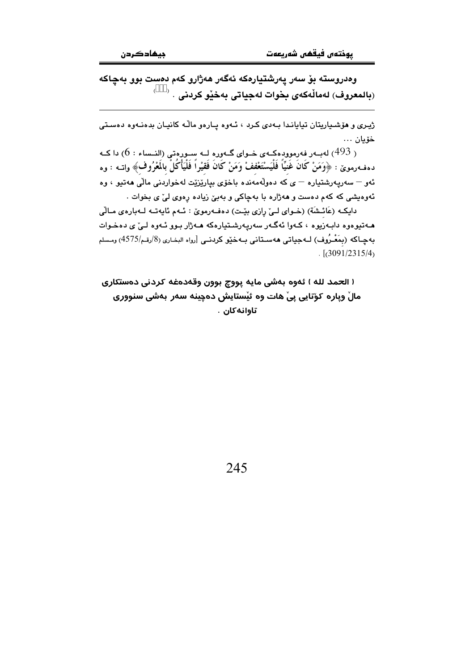وەدروسته بۆ سەر پەرشتيارەكە ئەگەر ھەژارو كەم دەست بوو بەچاكە (بالمعروف) لەمالّەكەي بخوات لەجياتى بەخێو كردنى . ۞

ژیری و هۆشیاریتان تیایاندا بهدی کرد ، ئـهوه پـارهو مالّـه کانیـان بدهنـهوه دهسـتی خۆيان ...

ر 493) لەبـەر فەرموودەكـەي خـواي گـەورە لــە سـورەتى (النـساء : 6) دا كــە  $\left( 6: 6 \right)$ دەفــهرموێ : ﴿وَمَنْ كَانَ غَنيًّا فَلْيَسْتَعْففْ وَمَنْ كَانَ فَقيْراً فَلْيَأْكُلْ بالمَعْرُوف﴾ واتــه : وه ئەو – سەريەرشتيارە – ي كە دەولەمەندە باخۆي بياريزيت لەخواردنى مالىي ھەتپو ، وە ئەوەيشى كە كەم دەست و ھەژارە با بەچاكى و بەبىّ زيادە رەوى لىّ ى بخوات .

دايكه (عَائشَة) (خواي لـيّ رازي بيّت) دهفـهرمويّ : ئـهم ئايهتـه لـهبارهي مـالّي مـهتيوهوه دابـهزيوه ، كـهوا ئهگـهر سهريـهرشـتيارهكه مـهژار بـوو ئـهوه لـئ ى دهخـوات بهچـاكه (بمَعْـرُوف) لــهجياتي ههسـتاني بـهخێو كردنـي [رواه البخـاري (8/رقـم/4575) ومـسلم  $\frac{1}{(3091/2315/4)}$ 

۱ الحمد لله ۱ ئەوە بەشى مايە پووچ بوون وقەدەغە كردنى دەستكارى مالْ وياره كوّتايي پيْ هات وه ئيْستايش دەچينە سەر بەشى سنوورى تاوانەكان .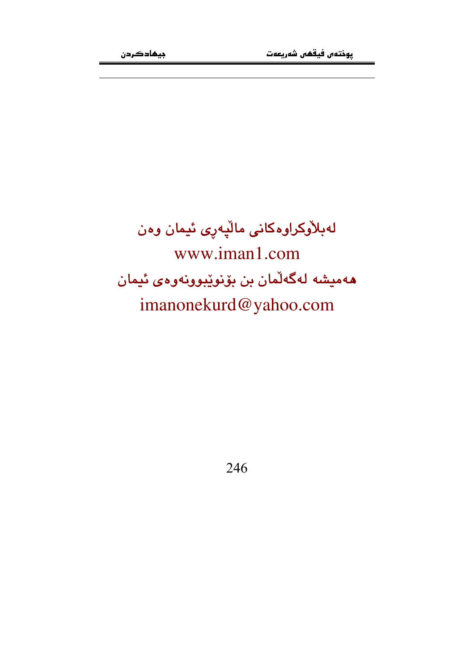لەبلاّۈكراوەكانى مالّپەرى ئيمان وەن www.iman1.com هەميشە لەگەلمان بن بۆنوپبوونەوەي ئيمان imanonekurd@yahoo.com